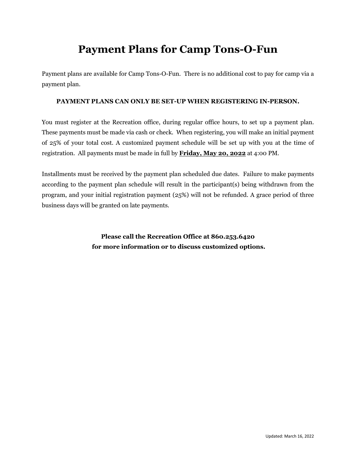# **Payment Plans for Camp Tons-O-Fun**

Payment plans are available for Camp Tons-O-Fun. There is no additional cost to pay for camp via a payment plan.

#### **PAYMENT PLANS CAN ONLY BE SET-UP WHEN REGISTERING IN-PERSON.**

You must register at the Recreation office, during regular office hours, to set up a payment plan. These payments must be made via cash or check. When registering, you will make an initial payment of 25% of your total cost. A customized payment schedule will be set up with you at the time of registration. All payments must be made in full by **Friday, May 20, 2022** at 4:00 PM.

Installments must be received by the payment plan scheduled due dates. Failure to make payments according to the payment plan schedule will result in the participant(s) being withdrawn from the program, and your initial registration payment (25%) will not be refunded. A grace period of three business days will be granted on late payments.

> **Please call the Recreation Office at 860.253.6420 for more information or to discuss customized options.**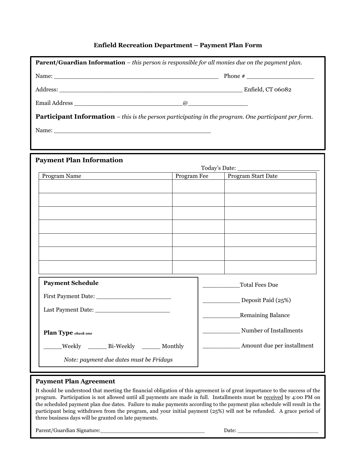### **Enfield Recreation Department – Payment Plan Form**

| <b>Parent/Guardian Information</b> - this person is responsible for all monies due on the payment plan.     |  |  |                                |  |  |
|-------------------------------------------------------------------------------------------------------------|--|--|--------------------------------|--|--|
|                                                                                                             |  |  |                                |  |  |
|                                                                                                             |  |  |                                |  |  |
|                                                                                                             |  |  |                                |  |  |
|                                                                                                             |  |  |                                |  |  |
| <b>Participant Information</b> – this is the person participating in the program. One participant per form. |  |  |                                |  |  |
|                                                                                                             |  |  |                                |  |  |
|                                                                                                             |  |  |                                |  |  |
|                                                                                                             |  |  |                                |  |  |
| <b>Payment Plan Information</b>                                                                             |  |  |                                |  |  |
| Program Name                                                                                                |  |  | Program Fee Program Start Date |  |  |
|                                                                                                             |  |  |                                |  |  |
|                                                                                                             |  |  |                                |  |  |
|                                                                                                             |  |  |                                |  |  |
|                                                                                                             |  |  |                                |  |  |
|                                                                                                             |  |  |                                |  |  |
|                                                                                                             |  |  |                                |  |  |
|                                                                                                             |  |  |                                |  |  |
|                                                                                                             |  |  |                                |  |  |
| <b>Payment Schedule</b>                                                                                     |  |  | Total Fees Due                 |  |  |
|                                                                                                             |  |  | Deposit Paid (25%)             |  |  |
|                                                                                                             |  |  |                                |  |  |
|                                                                                                             |  |  | Remaining Balance              |  |  |
| Plan Type check one                                                                                         |  |  | Number of Installments         |  |  |
| Weekly ________ Bi-Weekly<br>Monthly                                                                        |  |  | Amount due per installment     |  |  |
| Note: payment due dates must be Fridays                                                                     |  |  |                                |  |  |

### **Payment Plan Agreement**

It should be understood that meeting the financial obligation of this agreement is of great importance to the success of the program. Participation is not allowed until all payments are made in full. Installments must be received by 4:00 PM on the scheduled payment plan due dates. Failure to make payments according to the payment plan schedule will result in the participant being withdrawn from the program, and your initial payment (25%) will not be refunded. A grace period of three business days will be granted on late payments.

Parent/Guardian Signature:\_\_\_\_\_\_\_\_\_\_\_\_\_\_\_\_\_\_\_\_\_\_\_\_\_\_\_\_\_\_\_ Date: \_\_\_\_\_\_\_\_\_\_\_\_\_\_\_\_\_\_\_\_\_\_\_\_

Updated: March 16, 2022